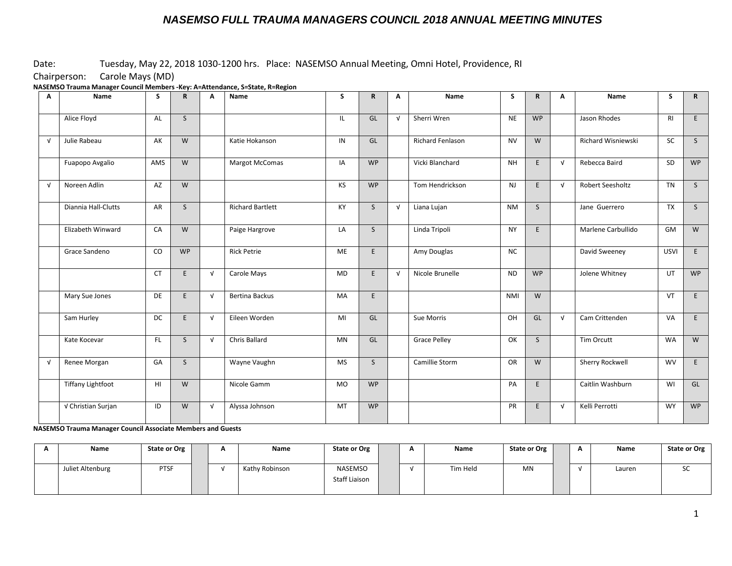#### Date: Tuesday, May 22, 2018 1030-1200 hrs. Place: NASEMSO Annual Meeting, Omni Hotel, Providence, RI

Chairperson: Carole Mays (MD)

**NASEMSO Trauma Manager Council Members -Key: A=Attendance, S=State, R=Region**

| Α          | Name                     | S               | $\mathbf R$  | A          | Name                    | S         | $\mathsf{R}$ | Α          | Name                    | S          | $\mathbf R$  | A          | Name                    | S              | R         |
|------------|--------------------------|-----------------|--------------|------------|-------------------------|-----------|--------------|------------|-------------------------|------------|--------------|------------|-------------------------|----------------|-----------|
|            | Alice Floyd              | AL              | S            |            |                         | IL.       | GL           | $\sqrt{ }$ | Sherri Wren             | <b>NE</b>  | <b>WP</b>    |            | Jason Rhodes            | R <sub>l</sub> | E         |
| $\sqrt{ }$ | Julie Rabeau             | AK              | W            |            | Katie Hokanson          | IN        | GL           |            | <b>Richard Fenlason</b> | <b>NV</b>  | W            |            | Richard Wisniewski      | SC             | S         |
|            | Fuapopo Avgalio          | AMS             | W            |            | <b>Margot McComas</b>   | IA        | <b>WP</b>    |            | Vicki Blanchard         | <b>NH</b>  | E            | $\sqrt{ }$ | Rebecca Baird           | SD             | <b>WP</b> |
| $\sqrt{ }$ | Noreen Adlin             | AZ              | W            |            |                         | <b>KS</b> | <b>WP</b>    |            | Tom Hendrickson         | <b>NJ</b>  | E.           | $\sqrt{ }$ | <b>Robert Seesholtz</b> | <b>TN</b>      | S         |
|            | Diannia Hall-Clutts      | AR              | S            |            | <b>Richard Bartlett</b> | KY        | $\mathsf{S}$ | $\sqrt{ }$ | Liana Lujan             | <b>NM</b>  | <sub>S</sub> |            | Jane Guerrero           | TX             | S         |
|            | Elizabeth Winward        | CA              | W            |            | Paige Hargrove          | LA        | $\mathsf{S}$ |            | Linda Tripoli           | <b>NY</b>  | E            |            | Marlene Carbullido      | GM             | W         |
|            | Grace Sandeno            | CO              | <b>WP</b>    |            | <b>Rick Petrie</b>      | <b>ME</b> | E            |            | Amy Douglas             | <b>NC</b>  |              |            | David Sweeney           | <b>USVI</b>    | E         |
|            |                          | <b>CT</b>       | E            | $\sqrt{ }$ | Carole Mays             | <b>MD</b> | E            | $\sqrt{ }$ | Nicole Brunelle         | <b>ND</b>  | <b>WP</b>    |            | Jolene Whitney          | UT             | <b>WP</b> |
|            | Mary Sue Jones           | DE              | E            | $\sqrt{ }$ | <b>Bertina Backus</b>   | MA        | E            |            |                         | <b>NMI</b> | W            |            |                         | VT             | E         |
|            | Sam Hurley               | <b>DC</b>       | E            | $\sqrt{ }$ | Eileen Worden           | MI        | GL           |            | Sue Morris              | OH         | GL           | $\sqrt{ }$ | Cam Crittenden          | VA             | E         |
|            | Kate Kocevar             | FL.             | $\mathsf{S}$ | $\sqrt{ }$ | Chris Ballard           | <b>MN</b> | GL           |            | <b>Grace Pelley</b>     | OK         | $\mathsf{S}$ |            | Tim Orcutt              | <b>WA</b>      | W         |
| $\sqrt{ }$ | Renee Morgan             | GA              | $\mathsf{S}$ |            | Wayne Vaughn            | <b>MS</b> | $\mathsf{S}$ |            | Camillie Storm          | <b>OR</b>  | W            |            | Sherry Rockwell         | <b>WV</b>      | E         |
|            | <b>Tiffany Lightfoot</b> | H <sub>II</sub> | W            |            | Nicole Gamm             | MO        | <b>WP</b>    |            |                         | PA         | E            |            | Caitlin Washburn        | WI             | GL        |
|            | √ Christian Surjan       | ID              | W            | $\sqrt{ }$ | Alyssa Johnson          | MT        | <b>WP</b>    |            |                         | PR         | E            | $\sqrt{ }$ | Kelli Perrotti          | WY             | <b>WP</b> |

**NASEMSO Trauma Manager Council Associate Members and Guests**

| Name             | <b>State or Org</b> |  | Name           | <b>State or Org</b>             |  | Name     | <b>State or Org</b> | - | Name   | <b>State or Org</b> |
|------------------|---------------------|--|----------------|---------------------------------|--|----------|---------------------|---|--------|---------------------|
| Juliet Altenburg | <b>PTSF</b>         |  | Kathy Robinson | NASEMSO<br><b>Staff Liaison</b> |  | Tim Held | MN                  |   | Lauren | JJ.                 |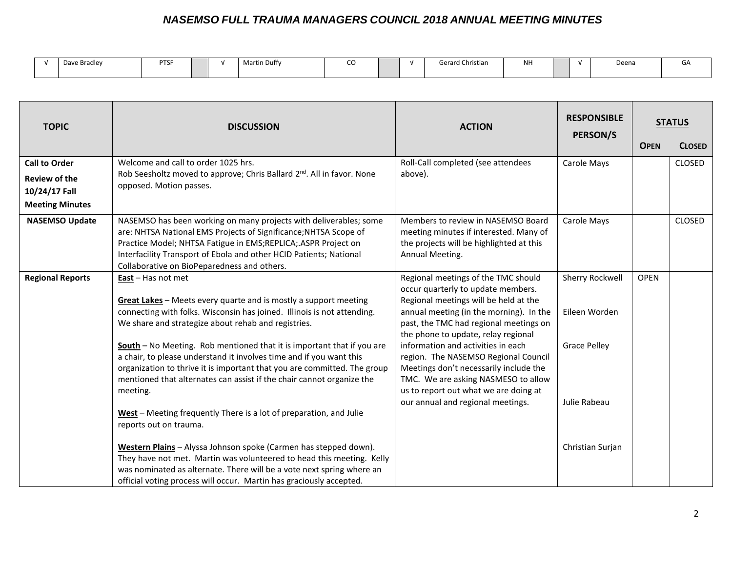|  | Dave Bradley | <b>PTSF</b> |  |  | $ -$<br>Martin Duffy | --<br>๛ |  |  | Gerard Christian | <b>NH</b> |  |  | Deena | u۶ |
|--|--------------|-------------|--|--|----------------------|---------|--|--|------------------|-----------|--|--|-------|----|
|--|--------------|-------------|--|--|----------------------|---------|--|--|------------------|-----------|--|--|-------|----|

| <b>TOPIC</b>                          | <b>DISCUSSION</b>                                                                                                                                                                                                                                                                                                           | <b>ACTION</b>                                                                                                                                                                                                                                  | <b>RESPONSIBLE</b><br>PERSON/S   | <b>OPEN</b> | <b>STATUS</b><br><b>CLOSED</b> |
|---------------------------------------|-----------------------------------------------------------------------------------------------------------------------------------------------------------------------------------------------------------------------------------------------------------------------------------------------------------------------------|------------------------------------------------------------------------------------------------------------------------------------------------------------------------------------------------------------------------------------------------|----------------------------------|-------------|--------------------------------|
| <b>Call to Order</b>                  | Welcome and call to order 1025 hrs.                                                                                                                                                                                                                                                                                         | Roll-Call completed (see attendees                                                                                                                                                                                                             | Carole Mays                      |             | CLOSED                         |
| <b>Review of the</b><br>10/24/17 Fall | Rob Seesholtz moved to approve; Chris Ballard 2 <sup>nd</sup> . All in favor. None<br>opposed. Motion passes.                                                                                                                                                                                                               | above).                                                                                                                                                                                                                                        |                                  |             |                                |
| <b>Meeting Minutes</b>                |                                                                                                                                                                                                                                                                                                                             |                                                                                                                                                                                                                                                |                                  |             |                                |
| <b>NASEMSO Update</b>                 | NASEMSO has been working on many projects with deliverables; some<br>are: NHTSA National EMS Projects of Significance; NHTSA Scope of<br>Practice Model; NHTSA Fatigue in EMS;REPLICA; ASPR Project on<br>Interfacility Transport of Ebola and other HCID Patients; National<br>Collaborative on BioPeparedness and others. | Members to review in NASEMSO Board<br>meeting minutes if interested. Many of<br>the projects will be highlighted at this<br>Annual Meeting.                                                                                                    | Carole Mays                      |             | <b>CLOSED</b>                  |
| <b>Regional Reports</b>               | East - Has not met<br>Great Lakes - Meets every quarte and is mostly a support meeting<br>connecting with folks. Wisconsin has joined. Illinois is not attending.<br>We share and strategize about rehab and registries.                                                                                                    | Regional meetings of the TMC should<br>occur quarterly to update members.<br>Regional meetings will be held at the<br>annual meeting (in the morning). In the<br>past, the TMC had regional meetings on<br>the phone to update, relay regional | Sherry Rockwell<br>Eileen Worden | <b>OPEN</b> |                                |
|                                       | South - No Meeting. Rob mentioned that it is important that if you are<br>a chair, to please understand it involves time and if you want this<br>organization to thrive it is important that you are committed. The group<br>mentioned that alternates can assist if the chair cannot organize the<br>meeting.              | information and activities in each<br>region. The NASEMSO Regional Council<br>Meetings don't necessarily include the<br>TMC. We are asking NASMESO to allow<br>us to report out what we are doing at                                           | <b>Grace Pelley</b>              |             |                                |
|                                       | West - Meeting frequently There is a lot of preparation, and Julie<br>reports out on trauma.                                                                                                                                                                                                                                | our annual and regional meetings.                                                                                                                                                                                                              | Julie Rabeau                     |             |                                |
|                                       | Western Plains - Alyssa Johnson spoke (Carmen has stepped down).<br>They have not met. Martin was volunteered to head this meeting. Kelly<br>was nominated as alternate. There will be a vote next spring where an<br>official voting process will occur. Martin has graciously accepted.                                   |                                                                                                                                                                                                                                                | Christian Surjan                 |             |                                |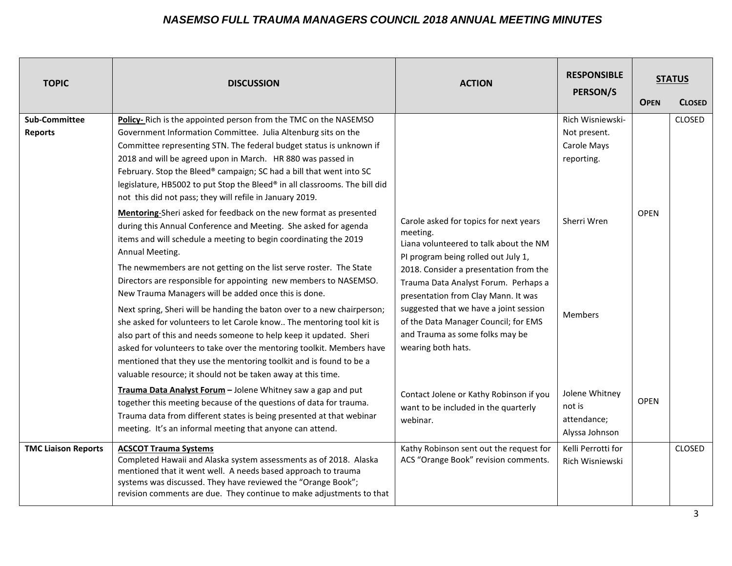| <b>TOPIC</b>                           | <b>DISCUSSION</b>                                                                                                                                                                                                                                                                                                                                                                                                                                                                                                                                                                                                                                                                                                                                                                                                                                                      | <b>ACTION</b>                                                                                                                                                                                                                                                                                                                                                                                           | <b>RESPONSIBLE</b><br><b>PERSON/S</b>                         | <b>OPEN</b> | <b>STATUS</b><br><b>CLOSED</b> |
|----------------------------------------|------------------------------------------------------------------------------------------------------------------------------------------------------------------------------------------------------------------------------------------------------------------------------------------------------------------------------------------------------------------------------------------------------------------------------------------------------------------------------------------------------------------------------------------------------------------------------------------------------------------------------------------------------------------------------------------------------------------------------------------------------------------------------------------------------------------------------------------------------------------------|---------------------------------------------------------------------------------------------------------------------------------------------------------------------------------------------------------------------------------------------------------------------------------------------------------------------------------------------------------------------------------------------------------|---------------------------------------------------------------|-------------|--------------------------------|
| <b>Sub-Committee</b><br><b>Reports</b> | Policy-Rich is the appointed person from the TMC on the NASEMSO<br>Government Information Committee. Julia Altenburg sits on the<br>Committee representing STN. The federal budget status is unknown if<br>2018 and will be agreed upon in March. HR 880 was passed in<br>February. Stop the Bleed® campaign; SC had a bill that went into SC<br>legislature, HB5002 to put Stop the Bleed® in all classrooms. The bill did<br>not this did not pass; they will refile in January 2019.                                                                                                                                                                                                                                                                                                                                                                                |                                                                                                                                                                                                                                                                                                                                                                                                         | Rich Wisniewski-<br>Not present.<br>Carole Mays<br>reporting. |             | <b>CLOSED</b>                  |
|                                        | Mentoring-Sheri asked for feedback on the new format as presented<br>during this Annual Conference and Meeting. She asked for agenda<br>items and will schedule a meeting to begin coordinating the 2019<br>Annual Meeting.<br>The newmembers are not getting on the list serve roster. The State<br>Directors are responsible for appointing new members to NASEMSO.<br>New Trauma Managers will be added once this is done.<br>Next spring, Sheri will be handing the baton over to a new chairperson;<br>she asked for volunteers to let Carole know The mentoring tool kit is<br>also part of this and needs someone to help keep it updated. Sheri<br>asked for volunteers to take over the mentoring toolkit. Members have<br>mentioned that they use the mentoring toolkit and is found to be a<br>valuable resource; it should not be taken away at this time. | Carole asked for topics for next years<br>meeting.<br>Liana volunteered to talk about the NM<br>PI program being rolled out July 1,<br>2018. Consider a presentation from the<br>Trauma Data Analyst Forum. Perhaps a<br>presentation from Clay Mann. It was<br>suggested that we have a joint session<br>of the Data Manager Council; for EMS<br>and Trauma as some folks may be<br>wearing both hats. | Sherri Wren<br><b>Members</b>                                 | <b>OPEN</b> |                                |
|                                        | Trauma Data Analyst Forum - Jolene Whitney saw a gap and put<br>together this meeting because of the questions of data for trauma.<br>Trauma data from different states is being presented at that webinar<br>meeting. It's an informal meeting that anyone can attend.                                                                                                                                                                                                                                                                                                                                                                                                                                                                                                                                                                                                | Contact Jolene or Kathy Robinson if you<br>want to be included in the quarterly<br>webinar.                                                                                                                                                                                                                                                                                                             | Jolene Whitney<br>not is<br>attendance;<br>Alyssa Johnson     | <b>OPEN</b> |                                |
| <b>TMC Liaison Reports</b>             | <b>ACSCOT Trauma Systems</b><br>Completed Hawaii and Alaska system assessments as of 2018. Alaska<br>mentioned that it went well. A needs based approach to trauma<br>systems was discussed. They have reviewed the "Orange Book";<br>revision comments are due. They continue to make adjustments to that                                                                                                                                                                                                                                                                                                                                                                                                                                                                                                                                                             | Kathy Robinson sent out the request for<br>ACS "Orange Book" revision comments.                                                                                                                                                                                                                                                                                                                         | Kelli Perrotti for<br>Rich Wisniewski                         |             | <b>CLOSED</b>                  |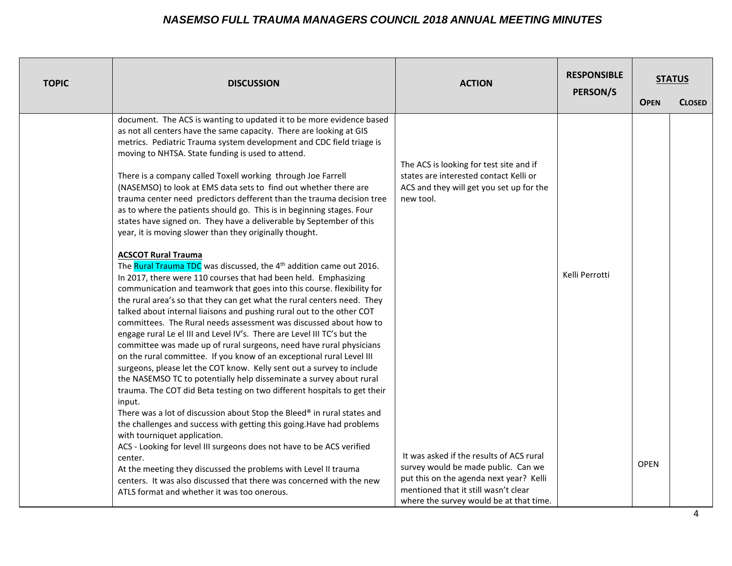| <b>TOPIC</b> | <b>DISCUSSION</b>                                                                                                                                                                                                                                                                                                                                                                                                                                                                                                                                                                                                                                                                                                                                                                                                                                                                                                                                                                                                                                                                                        | <b>ACTION</b>                                                                                                                                                                                                 | <b>RESPONSIBLE</b><br>PERSON/S | <b>OPEN</b> | <b>STATUS</b><br><b>CLOSED</b> |
|--------------|----------------------------------------------------------------------------------------------------------------------------------------------------------------------------------------------------------------------------------------------------------------------------------------------------------------------------------------------------------------------------------------------------------------------------------------------------------------------------------------------------------------------------------------------------------------------------------------------------------------------------------------------------------------------------------------------------------------------------------------------------------------------------------------------------------------------------------------------------------------------------------------------------------------------------------------------------------------------------------------------------------------------------------------------------------------------------------------------------------|---------------------------------------------------------------------------------------------------------------------------------------------------------------------------------------------------------------|--------------------------------|-------------|--------------------------------|
|              | document. The ACS is wanting to updated it to be more evidence based<br>as not all centers have the same capacity. There are looking at GIS<br>metrics. Pediatric Trauma system development and CDC field triage is<br>moving to NHTSA. State funding is used to attend.<br>There is a company called Toxell working through Joe Farrell<br>(NASEMSO) to look at EMS data sets to find out whether there are<br>trauma center need predictors defferent than the trauma decision tree<br>as to where the patients should go. This is in beginning stages. Four<br>states have signed on. They have a deliverable by September of this<br>year, it is moving slower than they originally thought.                                                                                                                                                                                                                                                                                                                                                                                                         | The ACS is looking for test site and if<br>states are interested contact Kelli or<br>ACS and they will get you set up for the<br>new tool.                                                                    |                                |             |                                |
|              | <b>ACSCOT Rural Trauma</b><br>The Rural Trauma TDC was discussed, the 4 <sup>th</sup> addition came out 2016.<br>In 2017, there were 110 courses that had been held. Emphasizing<br>communication and teamwork that goes into this course. flexibility for<br>the rural area's so that they can get what the rural centers need. They<br>talked about internal liaisons and pushing rural out to the other COT<br>committees. The Rural needs assessment was discussed about how to<br>engage rural Le el III and Level IV's. There are Level III TC's but the<br>committee was made up of rural surgeons, need have rural physicians<br>on the rural committee. If you know of an exceptional rural Level III<br>surgeons, please let the COT know. Kelly sent out a survey to include<br>the NASEMSO TC to potentially help disseminate a survey about rural<br>trauma. The COT did Beta testing on two different hospitals to get their<br>input.<br>There was a lot of discussion about Stop the Bleed® in rural states and<br>the challenges and success with getting this going. Have had problems |                                                                                                                                                                                                               | Kelli Perrotti                 |             |                                |
|              | with tourniquet application.<br>ACS - Looking for level III surgeons does not have to be ACS verified<br>center.<br>At the meeting they discussed the problems with Level II trauma<br>centers. It was also discussed that there was concerned with the new<br>ATLS format and whether it was too onerous.                                                                                                                                                                                                                                                                                                                                                                                                                                                                                                                                                                                                                                                                                                                                                                                               | It was asked if the results of ACS rural<br>survey would be made public. Can we<br>put this on the agenda next year? Kelli<br>mentioned that it still wasn't clear<br>where the survey would be at that time. |                                | <b>OPEN</b> |                                |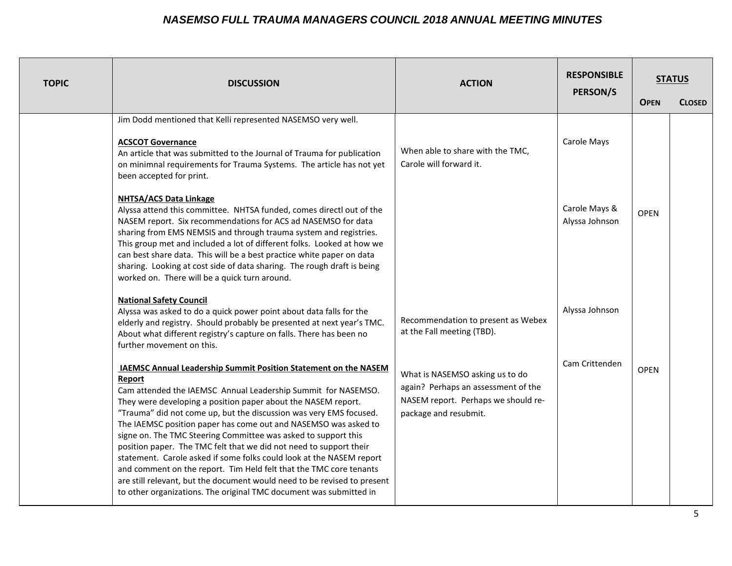| <b>TOPIC</b> | <b>DISCUSSION</b>                                                                                                                                                                                                                                                                                                                                                                                                                                                                                                                                                                                                                                                                                                                                                                                   | <b>ACTION</b>                                                                                                                          | <b>RESPONSIBLE</b><br><b>PERSON/S</b> |             | <b>STATUS</b> |
|--------------|-----------------------------------------------------------------------------------------------------------------------------------------------------------------------------------------------------------------------------------------------------------------------------------------------------------------------------------------------------------------------------------------------------------------------------------------------------------------------------------------------------------------------------------------------------------------------------------------------------------------------------------------------------------------------------------------------------------------------------------------------------------------------------------------------------|----------------------------------------------------------------------------------------------------------------------------------------|---------------------------------------|-------------|---------------|
|              |                                                                                                                                                                                                                                                                                                                                                                                                                                                                                                                                                                                                                                                                                                                                                                                                     |                                                                                                                                        |                                       | <b>OPEN</b> | <b>CLOSED</b> |
|              | Jim Dodd mentioned that Kelli represented NASEMSO very well.<br><b>ACSCOT Governance</b><br>An article that was submitted to the Journal of Trauma for publication<br>on minimnal requirements for Trauma Systems. The article has not yet<br>been accepted for print.                                                                                                                                                                                                                                                                                                                                                                                                                                                                                                                              | When able to share with the TMC,<br>Carole will forward it.                                                                            | Carole Mays                           |             |               |
|              | <b>NHTSA/ACS Data Linkage</b><br>Alyssa attend this committee. NHTSA funded, comes directl out of the<br>NASEM report. Six recommendations for ACS ad NASEMSO for data<br>sharing from EMS NEMSIS and through trauma system and registries.<br>This group met and included a lot of different folks. Looked at how we<br>can best share data. This will be a best practice white paper on data<br>sharing. Looking at cost side of data sharing. The rough draft is being<br>worked on. There will be a quick turn around.                                                                                                                                                                                                                                                                          |                                                                                                                                        | Carole Mays &<br>Alyssa Johnson       | <b>OPEN</b> |               |
|              | <b>National Safety Council</b><br>Alyssa was asked to do a quick power point about data falls for the<br>elderly and registry. Should probably be presented at next year's TMC.<br>About what different registry's capture on falls. There has been no<br>further movement on this.                                                                                                                                                                                                                                                                                                                                                                                                                                                                                                                 | Recommendation to present as Webex<br>at the Fall meeting (TBD).                                                                       | Alyssa Johnson                        |             |               |
|              | <b>IAEMSC Annual Leadership Summit Position Statement on the NASEM</b><br>Report<br>Cam attended the IAEMSC Annual Leadership Summit for NASEMSO.<br>They were developing a position paper about the NASEM report.<br>"Trauma" did not come up, but the discussion was very EMS focused.<br>The IAEMSC position paper has come out and NASEMSO was asked to<br>signe on. The TMC Steering Committee was asked to support this<br>position paper. The TMC felt that we did not need to support their<br>statement. Carole asked if some folks could look at the NASEM report<br>and comment on the report. Tim Held felt that the TMC core tenants<br>are still relevant, but the document would need to be revised to present<br>to other organizations. The original TMC document was submitted in | What is NASEMSO asking us to do<br>again? Perhaps an assessment of the<br>NASEM report. Perhaps we should re-<br>package and resubmit. | Cam Crittenden                        | <b>OPEN</b> |               |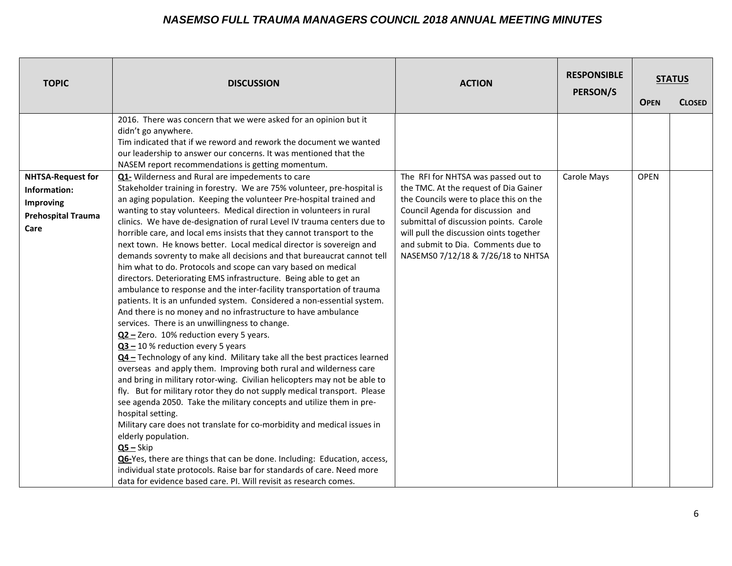| <b>TOPIC</b>                                                                               | <b>DISCUSSION</b>                                                                                                                                                                                                                                                                                                                                                                                                                                                                                                                                                                                                                                                                                                                                                                                                                                                                                                                                                                                                                                                                                                                                                                                                                                                                                                                                                                                                                                    | <b>ACTION</b>                                                                                                                                                                                                                                                                                                                | <b>RESPONSIBLE</b><br>PERSON/S | <b>OPEN</b> | <b>STATUS</b><br><b>CLOSED</b> |
|--------------------------------------------------------------------------------------------|------------------------------------------------------------------------------------------------------------------------------------------------------------------------------------------------------------------------------------------------------------------------------------------------------------------------------------------------------------------------------------------------------------------------------------------------------------------------------------------------------------------------------------------------------------------------------------------------------------------------------------------------------------------------------------------------------------------------------------------------------------------------------------------------------------------------------------------------------------------------------------------------------------------------------------------------------------------------------------------------------------------------------------------------------------------------------------------------------------------------------------------------------------------------------------------------------------------------------------------------------------------------------------------------------------------------------------------------------------------------------------------------------------------------------------------------------|------------------------------------------------------------------------------------------------------------------------------------------------------------------------------------------------------------------------------------------------------------------------------------------------------------------------------|--------------------------------|-------------|--------------------------------|
| <b>NHTSA-Request for</b><br>Information:<br>Improving<br><b>Prehospital Trauma</b><br>Care | 2016. There was concern that we were asked for an opinion but it<br>didn't go anywhere.<br>Tim indicated that if we reword and rework the document we wanted<br>our leadership to answer our concerns. It was mentioned that the<br>NASEM report recommendations is getting momentum.<br>Q1- Wilderness and Rural are impedements to care<br>Stakeholder training in forestry. We are 75% volunteer, pre-hospital is<br>an aging population. Keeping the volunteer Pre-hospital trained and<br>wanting to stay volunteers. Medical direction in volunteers in rural<br>clinics. We have de-designation of rural Level IV trauma centers due to<br>horrible care, and local ems insists that they cannot transport to the<br>next town. He knows better. Local medical director is sovereign and<br>demands sovrenty to make all decisions and that bureaucrat cannot tell<br>him what to do. Protocols and scope can vary based on medical<br>directors. Deteriorating EMS infrastructure. Being able to get an<br>ambulance to response and the inter-facility transportation of trauma<br>patients. It is an unfunded system. Considered a non-essential system.<br>And there is no money and no infrastructure to have ambulance<br>services. There is an unwillingness to change.<br>Q2 - Zero. 10% reduction every 5 years.<br>$Q3 - 10$ % reduction every 5 years<br>Q4 - Technology of any kind. Military take all the best practices learned | The RFI for NHTSA was passed out to<br>the TMC. At the request of Dia Gainer<br>the Councils were to place this on the<br>Council Agenda for discussion and<br>submittal of discussion points. Carole<br>will pull the discussion oints together<br>and submit to Dia. Comments due to<br>NASEMS0 7/12/18 & 7/26/18 to NHTSA | Carole Mays                    | <b>OPEN</b> |                                |
|                                                                                            | overseas and apply them. Improving both rural and wilderness care<br>and bring in military rotor-wing. Civilian helicopters may not be able to<br>fly. But for military rotor they do not supply medical transport. Please<br>see agenda 2050. Take the military concepts and utilize them in pre-<br>hospital setting.<br>Military care does not translate for co-morbidity and medical issues in<br>elderly population.<br>$Q5 - Skip$<br>Q6-Yes, there are things that can be done. Including: Education, access,<br>individual state protocols. Raise bar for standards of care. Need more<br>data for evidence based care. PI. Will revisit as research comes.                                                                                                                                                                                                                                                                                                                                                                                                                                                                                                                                                                                                                                                                                                                                                                                  |                                                                                                                                                                                                                                                                                                                              |                                |             |                                |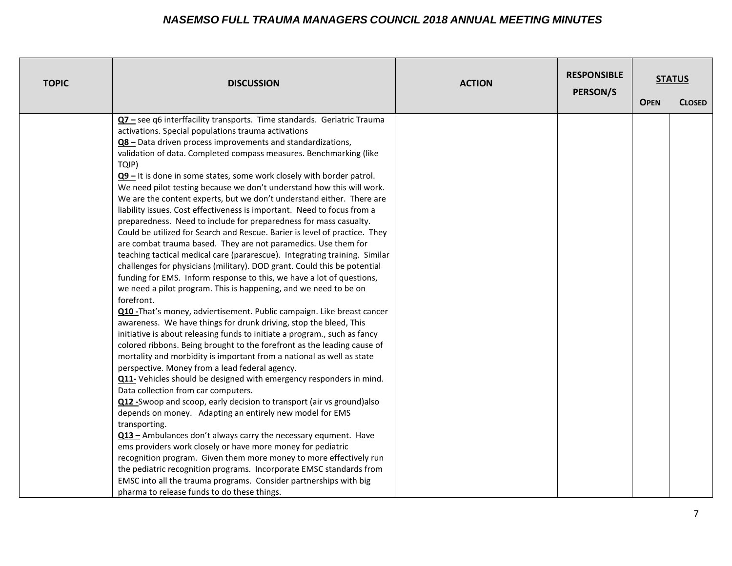| <b>TOPIC</b> | <b>DISCUSSION</b>                                                                                                                                                                                                                                                                                                                                                                                                                                                                                                                                                                                                                                                                                                                                                                                                                                                                                                                                                                                                                                                                                                                                                                                                                                                                                                                                                                                                                                                                                                                                                                                                                                                                                                                                                                                                                                                                                                                                                                                                                                                                                                                                                                                                                          | <b>ACTION</b> | <b>RESPONSIBLE</b><br>PERSON/S |             | <b>STATUS</b> |
|--------------|--------------------------------------------------------------------------------------------------------------------------------------------------------------------------------------------------------------------------------------------------------------------------------------------------------------------------------------------------------------------------------------------------------------------------------------------------------------------------------------------------------------------------------------------------------------------------------------------------------------------------------------------------------------------------------------------------------------------------------------------------------------------------------------------------------------------------------------------------------------------------------------------------------------------------------------------------------------------------------------------------------------------------------------------------------------------------------------------------------------------------------------------------------------------------------------------------------------------------------------------------------------------------------------------------------------------------------------------------------------------------------------------------------------------------------------------------------------------------------------------------------------------------------------------------------------------------------------------------------------------------------------------------------------------------------------------------------------------------------------------------------------------------------------------------------------------------------------------------------------------------------------------------------------------------------------------------------------------------------------------------------------------------------------------------------------------------------------------------------------------------------------------------------------------------------------------------------------------------------------------|---------------|--------------------------------|-------------|---------------|
|              |                                                                                                                                                                                                                                                                                                                                                                                                                                                                                                                                                                                                                                                                                                                                                                                                                                                                                                                                                                                                                                                                                                                                                                                                                                                                                                                                                                                                                                                                                                                                                                                                                                                                                                                                                                                                                                                                                                                                                                                                                                                                                                                                                                                                                                            |               |                                | <b>OPEN</b> | <b>CLOSED</b> |
|              | Q7 - see q6 interffacility transports. Time standards. Geriatric Trauma<br>activations. Special populations trauma activations<br>Q8 – Data driven process improvements and standardizations,<br>validation of data. Completed compass measures. Benchmarking (like<br>TQIP)<br>$Q9 -$ It is done in some states, some work closely with border patrol.<br>We need pilot testing because we don't understand how this will work.<br>We are the content experts, but we don't understand either. There are<br>liability issues. Cost effectiveness is important. Need to focus from a<br>preparedness. Need to include for preparedness for mass casualty.<br>Could be utilized for Search and Rescue. Barier is level of practice. They<br>are combat trauma based. They are not paramedics. Use them for<br>teaching tactical medical care (pararescue). Integrating training. Similar<br>challenges for physicians (military). DOD grant. Could this be potential<br>funding for EMS. Inform response to this, we have a lot of questions,<br>we need a pilot program. This is happening, and we need to be on<br>forefront.<br>Q10 - That's money, adviertisement. Public campaign. Like breast cancer<br>awareness. We have things for drunk driving, stop the bleed, This<br>initiative is about releasing funds to initiate a program., such as fancy<br>colored ribbons. Being brought to the forefront as the leading cause of<br>mortality and morbidity is important from a national as well as state<br>perspective. Money from a lead federal agency.<br>Q11- Vehicles should be designed with emergency responders in mind.<br>Data collection from car computers.<br>Q12 - Swoop and scoop, early decision to transport (air vs ground) also<br>depends on money. Adapting an entirely new model for EMS<br>transporting.<br>Q13 - Ambulances don't always carry the necessary equment. Have<br>ems providers work closely or have more money for pediatric<br>recognition program. Given them more money to more effectively run<br>the pediatric recognition programs. Incorporate EMSC standards from<br>EMSC into all the trauma programs. Consider partnerships with big<br>pharma to release funds to do these things. |               |                                |             |               |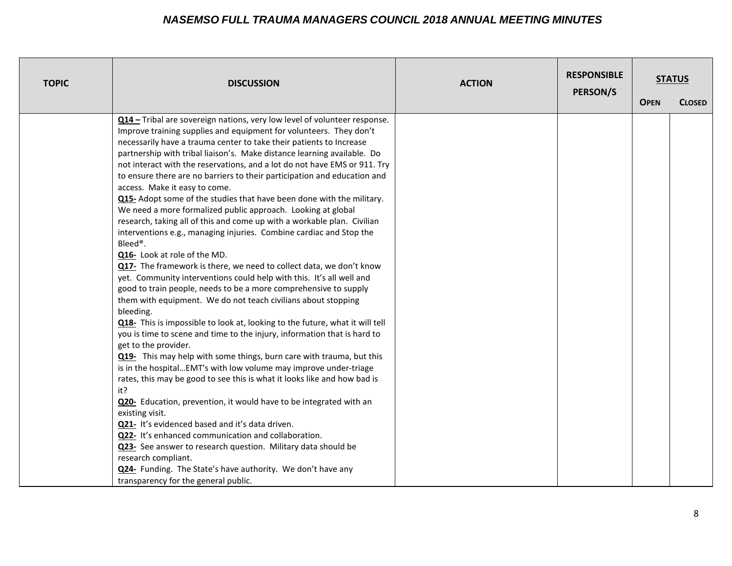| <b>TOPIC</b> | <b>DISCUSSION</b>                                                                                                                                                                                                                                                                                                                                                                                                                                                                                                                                                                                                                                                                                                                                                                                                                                                                                                                                                                                                                                                                                                                                                                                                                                                                                                                                                                                                                                                                                                                                                                                                                                                                                                                                                                                                                                                                                                                                       | <b>ACTION</b> | <b>RESPONSIBLE</b><br><b>PERSON/S</b> |             | <b>STATUS</b> |
|--------------|---------------------------------------------------------------------------------------------------------------------------------------------------------------------------------------------------------------------------------------------------------------------------------------------------------------------------------------------------------------------------------------------------------------------------------------------------------------------------------------------------------------------------------------------------------------------------------------------------------------------------------------------------------------------------------------------------------------------------------------------------------------------------------------------------------------------------------------------------------------------------------------------------------------------------------------------------------------------------------------------------------------------------------------------------------------------------------------------------------------------------------------------------------------------------------------------------------------------------------------------------------------------------------------------------------------------------------------------------------------------------------------------------------------------------------------------------------------------------------------------------------------------------------------------------------------------------------------------------------------------------------------------------------------------------------------------------------------------------------------------------------------------------------------------------------------------------------------------------------------------------------------------------------------------------------------------------------|---------------|---------------------------------------|-------------|---------------|
|              |                                                                                                                                                                                                                                                                                                                                                                                                                                                                                                                                                                                                                                                                                                                                                                                                                                                                                                                                                                                                                                                                                                                                                                                                                                                                                                                                                                                                                                                                                                                                                                                                                                                                                                                                                                                                                                                                                                                                                         |               |                                       | <b>OPEN</b> | <b>CLOSED</b> |
|              | Q14 - Tribal are sovereign nations, very low level of volunteer response.<br>Improve training supplies and equipment for volunteers. They don't<br>necessarily have a trauma center to take their patients to Increase<br>partnership with tribal liaison's. Make distance learning available. Do<br>not interact with the reservations, and a lot do not have EMS or 911. Try<br>to ensure there are no barriers to their participation and education and<br>access. Make it easy to come.<br>Q15- Adopt some of the studies that have been done with the military.<br>We need a more formalized public approach. Looking at global<br>research, taking all of this and come up with a workable plan. Civilian<br>interventions e.g., managing injuries. Combine cardiac and Stop the<br>Bleed®.<br>Q16- Look at role of the MD.<br>Q17- The framework is there, we need to collect data, we don't know<br>yet. Community interventions could help with this. It's all well and<br>good to train people, needs to be a more comprehensive to supply<br>them with equipment. We do not teach civilians about stopping<br>bleeding.<br>Q18- This is impossible to look at, looking to the future, what it will tell<br>you is time to scene and time to the injury, information that is hard to<br>get to the provider.<br>Q19- This may help with some things, burn care with trauma, but this<br>is in the hospitalEMT's with low volume may improve under-triage<br>rates, this may be good to see this is what it looks like and how bad is<br>it?<br>Q20- Education, prevention, it would have to be integrated with an<br>existing visit.<br>Q21- It's evidenced based and it's data driven.<br>Q22- It's enhanced communication and collaboration.<br>Q23- See answer to research question. Military data should be<br>research compliant.<br>Q24- Funding. The State's have authority. We don't have any<br>transparency for the general public. |               |                                       |             |               |
|              |                                                                                                                                                                                                                                                                                                                                                                                                                                                                                                                                                                                                                                                                                                                                                                                                                                                                                                                                                                                                                                                                                                                                                                                                                                                                                                                                                                                                                                                                                                                                                                                                                                                                                                                                                                                                                                                                                                                                                         |               |                                       |             |               |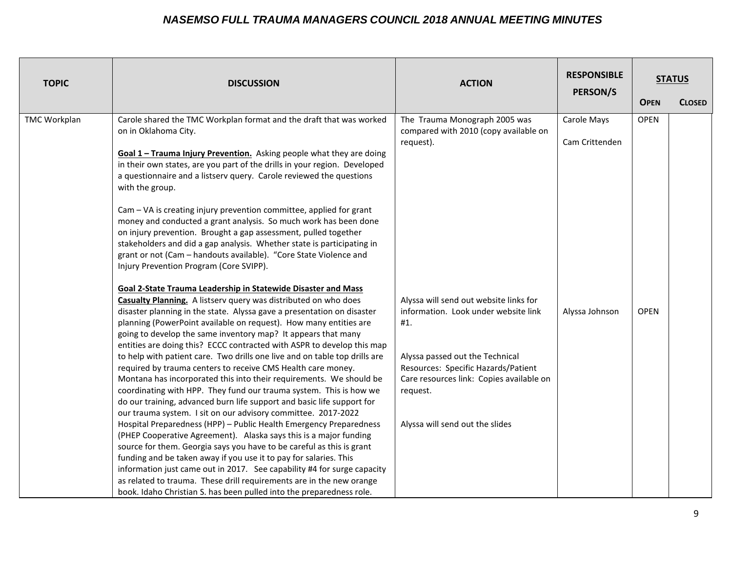| <b>TOPIC</b> | <b>DISCUSSION</b>                                                                                                                                 | <b>ACTION</b>                                                                   | <b>RESPONSIBLE</b><br><b>PERSON/S</b> | <b>OPEN</b> | <b>STATUS</b><br><b>CLOSED</b> |
|--------------|---------------------------------------------------------------------------------------------------------------------------------------------------|---------------------------------------------------------------------------------|---------------------------------------|-------------|--------------------------------|
|              |                                                                                                                                                   |                                                                                 |                                       |             |                                |
| TMC Workplan | Carole shared the TMC Workplan format and the draft that was worked                                                                               | The Trauma Monograph 2005 was                                                   | Carole Mays                           | <b>OPEN</b> |                                |
|              | on in Oklahoma City.                                                                                                                              | compared with 2010 (copy available on                                           |                                       |             |                                |
|              |                                                                                                                                                   | request).                                                                       | Cam Crittenden                        |             |                                |
|              | Goal 1 - Trauma Injury Prevention. Asking people what they are doing<br>in their own states, are you part of the drills in your region. Developed |                                                                                 |                                       |             |                                |
|              | a questionnaire and a listserv query. Carole reviewed the questions                                                                               |                                                                                 |                                       |             |                                |
|              | with the group.                                                                                                                                   |                                                                                 |                                       |             |                                |
|              |                                                                                                                                                   |                                                                                 |                                       |             |                                |
|              | Cam - VA is creating injury prevention committee, applied for grant                                                                               |                                                                                 |                                       |             |                                |
|              | money and conducted a grant analysis. So much work has been done                                                                                  |                                                                                 |                                       |             |                                |
|              | on injury prevention. Brought a gap assessment, pulled together                                                                                   |                                                                                 |                                       |             |                                |
|              | stakeholders and did a gap analysis. Whether state is participating in                                                                            |                                                                                 |                                       |             |                                |
|              | grant or not (Cam - handouts available). "Core State Violence and                                                                                 |                                                                                 |                                       |             |                                |
|              | Injury Prevention Program (Core SVIPP).                                                                                                           |                                                                                 |                                       |             |                                |
|              |                                                                                                                                                   |                                                                                 |                                       |             |                                |
|              | Goal 2-State Trauma Leadership in Statewide Disaster and Mass                                                                                     |                                                                                 |                                       |             |                                |
|              | <b>Casualty Planning.</b> A listserv query was distributed on who does                                                                            | Alyssa will send out website links for                                          |                                       |             |                                |
|              | disaster planning in the state. Alyssa gave a presentation on disaster                                                                            | information. Look under website link                                            | Alyssa Johnson                        | <b>OPEN</b> |                                |
|              | planning (PowerPoint available on request). How many entities are                                                                                 | #1.                                                                             |                                       |             |                                |
|              | going to develop the same inventory map? It appears that many                                                                                     |                                                                                 |                                       |             |                                |
|              | entities are doing this? ECCC contracted with ASPR to develop this map                                                                            |                                                                                 |                                       |             |                                |
|              | to help with patient care. Two drills one live and on table top drills are                                                                        | Alyssa passed out the Technical                                                 |                                       |             |                                |
|              | required by trauma centers to receive CMS Health care money.<br>Montana has incorporated this into their requirements. We should be               | Resources: Specific Hazards/Patient<br>Care resources link: Copies available on |                                       |             |                                |
|              | coordinating with HPP. They fund our trauma system. This is how we                                                                                | request.                                                                        |                                       |             |                                |
|              | do our training, advanced burn life support and basic life support for                                                                            |                                                                                 |                                       |             |                                |
|              | our trauma system. I sit on our advisory committee. 2017-2022                                                                                     |                                                                                 |                                       |             |                                |
|              | Hospital Preparedness (HPP) - Public Health Emergency Preparedness                                                                                | Alyssa will send out the slides                                                 |                                       |             |                                |
|              | (PHEP Cooperative Agreement). Alaska says this is a major funding                                                                                 |                                                                                 |                                       |             |                                |
|              | source for them. Georgia says you have to be careful as this is grant                                                                             |                                                                                 |                                       |             |                                |
|              | funding and be taken away if you use it to pay for salaries. This                                                                                 |                                                                                 |                                       |             |                                |
|              | information just came out in 2017. See capability #4 for surge capacity                                                                           |                                                                                 |                                       |             |                                |
|              | as related to trauma. These drill requirements are in the new orange                                                                              |                                                                                 |                                       |             |                                |
|              | book. Idaho Christian S. has been pulled into the preparedness role.                                                                              |                                                                                 |                                       |             |                                |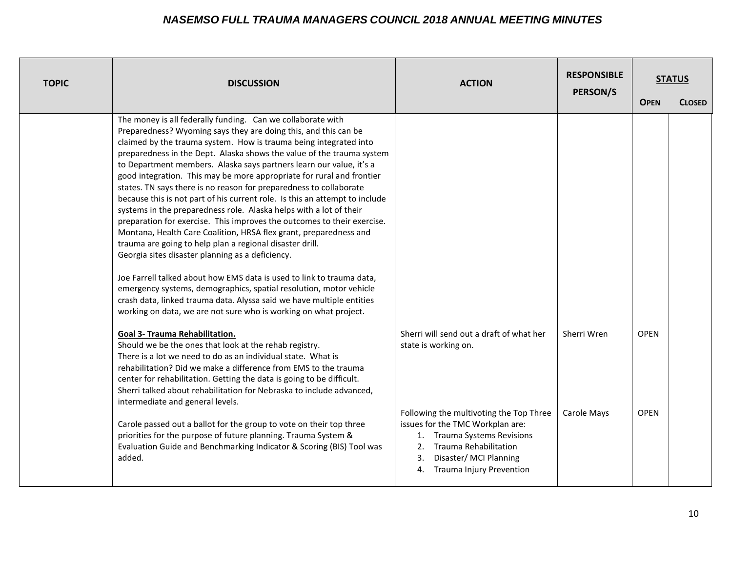| <b>TOPIC</b> | <b>DISCUSSION</b>                                                                                                                                                                                                                                                                                                                                                                                                                                                                                                                                                                                                                                                                                                                                                                                                                                                                                                                                                                                                                                                                                                                                                                                                   | <b>ACTION</b>                                                                                                                                                                                                               | <b>RESPONSIBLE</b><br><b>PERSON/S</b> |             | <b>STATUS</b> |
|--------------|---------------------------------------------------------------------------------------------------------------------------------------------------------------------------------------------------------------------------------------------------------------------------------------------------------------------------------------------------------------------------------------------------------------------------------------------------------------------------------------------------------------------------------------------------------------------------------------------------------------------------------------------------------------------------------------------------------------------------------------------------------------------------------------------------------------------------------------------------------------------------------------------------------------------------------------------------------------------------------------------------------------------------------------------------------------------------------------------------------------------------------------------------------------------------------------------------------------------|-----------------------------------------------------------------------------------------------------------------------------------------------------------------------------------------------------------------------------|---------------------------------------|-------------|---------------|
|              |                                                                                                                                                                                                                                                                                                                                                                                                                                                                                                                                                                                                                                                                                                                                                                                                                                                                                                                                                                                                                                                                                                                                                                                                                     |                                                                                                                                                                                                                             |                                       | <b>OPEN</b> | <b>CLOSED</b> |
|              | The money is all federally funding. Can we collaborate with<br>Preparedness? Wyoming says they are doing this, and this can be<br>claimed by the trauma system. How is trauma being integrated into<br>preparedness in the Dept. Alaska shows the value of the trauma system<br>to Department members. Alaska says partners learn our value, it's a<br>good integration. This may be more appropriate for rural and frontier<br>states. TN says there is no reason for preparedness to collaborate<br>because this is not part of his current role. Is this an attempt to include<br>systems in the preparedness role. Alaska helps with a lot of their<br>preparation for exercise. This improves the outcomes to their exercise.<br>Montana, Health Care Coalition, HRSA flex grant, preparedness and<br>trauma are going to help plan a regional disaster drill.<br>Georgia sites disaster planning as a deficiency.<br>Joe Farrell talked about how EMS data is used to link to trauma data,<br>emergency systems, demographics, spatial resolution, motor vehicle<br>crash data, linked trauma data. Alyssa said we have multiple entities<br>working on data, we are not sure who is working on what project. |                                                                                                                                                                                                                             |                                       |             |               |
|              | <b>Goal 3- Trauma Rehabilitation.</b><br>Should we be the ones that look at the rehab registry.<br>There is a lot we need to do as an individual state. What is<br>rehabilitation? Did we make a difference from EMS to the trauma<br>center for rehabilitation. Getting the data is going to be difficult.<br>Sherri talked about rehabilitation for Nebraska to include advanced,<br>intermediate and general levels.                                                                                                                                                                                                                                                                                                                                                                                                                                                                                                                                                                                                                                                                                                                                                                                             | Sherri will send out a draft of what her<br>state is working on.                                                                                                                                                            | Sherri Wren                           | <b>OPEN</b> |               |
|              | Carole passed out a ballot for the group to vote on their top three<br>priorities for the purpose of future planning. Trauma System &<br>Evaluation Guide and Benchmarking Indicator & Scoring (BIS) Tool was<br>added.                                                                                                                                                                                                                                                                                                                                                                                                                                                                                                                                                                                                                                                                                                                                                                                                                                                                                                                                                                                             | Following the multivoting the Top Three<br>issues for the TMC Workplan are:<br><b>Trauma Systems Revisions</b><br>1.<br>Trauma Rehabilitation<br>2.<br>3.<br>Disaster/MCI Planning<br><b>Trauma Injury Prevention</b><br>4. | Carole Mays                           | <b>OPEN</b> |               |